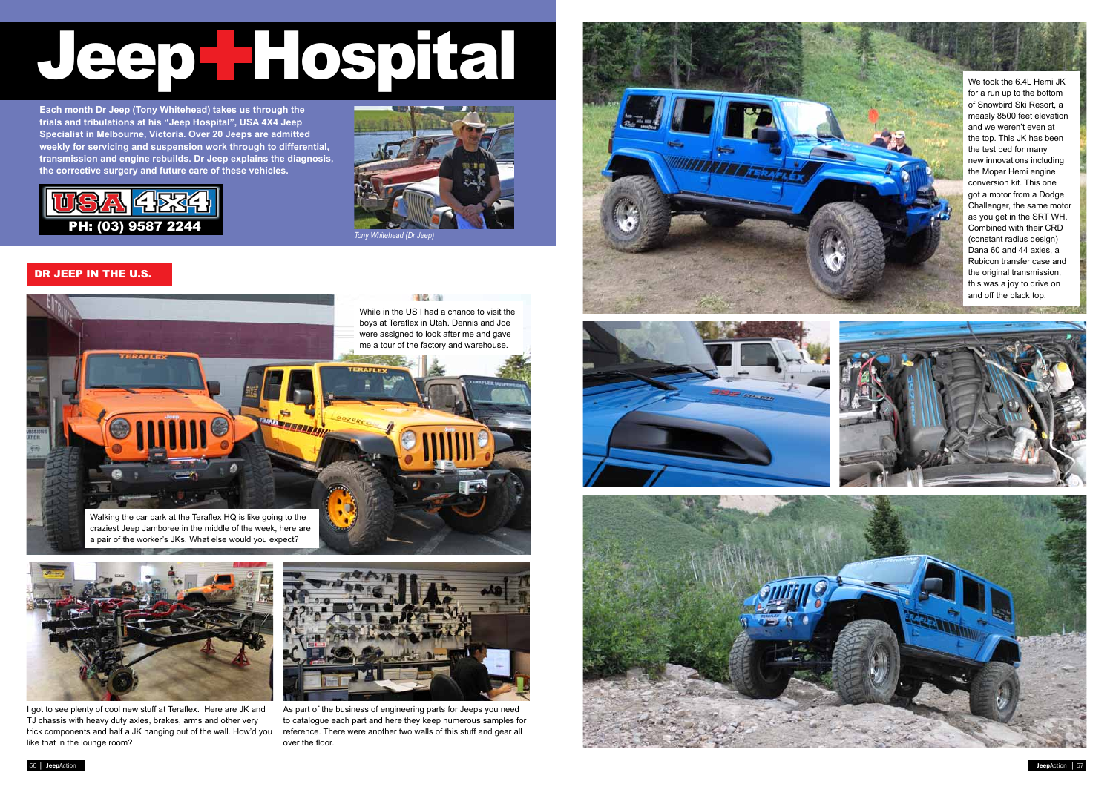56 │ JeepAction JeepAction │ 57

**Each month Dr Jeep (Tony Whitehead) takes us through the trials and tribulations at his "Jeep Hospital", USA 4X4 Jeep Specialist in Melbourne, Victoria. Over 20 Jeeps are admitted weekly for servicing and suspension work through to differential,**  transmission and engine rebuilds. Dr Jeep explains the diagnosis, **which is a strong of the strong of the strong**<br>the corrective surgery and future care of these vehicles. the corrective surgery and future care of these vehicles.

USA 4X4 AD SEPT 07.indd 17.indd 17.indd 17.indd 17.indd 17.indd 17.indd 17.indd 17.indd 17.indd 17.indd 17.ind

## $M_{\rm H}$  and  $M_{\rm H}$  are dealer with shocks to suit most  $400$ National Teraflex Distributor ACCESSORIES, SPARES, SPARES, SPARES, SPARES, SPARES, SPARES, SPARES, SPARES, SPARES, SPARES, SPARES, SPARES, S Jeep Hospital





## DR JEEP IN THE U.S.

We took the 6.4L Hemi JK for a run up to the bottom of Snowbird Ski Resort, a measly 8500 feet elevation and we weren't even at the top. This JK has been the test bed for many new innovations including the Mopar Hemi engine conversion kit. This one got a motor from a Dodge Challenger, the same motor as you get in the SRT WH. Combined with their CRD (constant radius design) Dana 60 and 44 axles, a Rubicon transfer case and the original transmission, this was a joy to drive on and off the black top.

As part of the business of engineering parts for Jeeps you need to catalogue each part and here they keep numerous samples for reference. There were another two walls of this stuff and gear all over the floor.











I got to see plenty of cool new stuff at Teraflex. Here are JK and TJ chassis with heavy duty axles, brakes, arms and other very trick components and half a JK hanging out of the wall. How'd you like that in the lounge room?